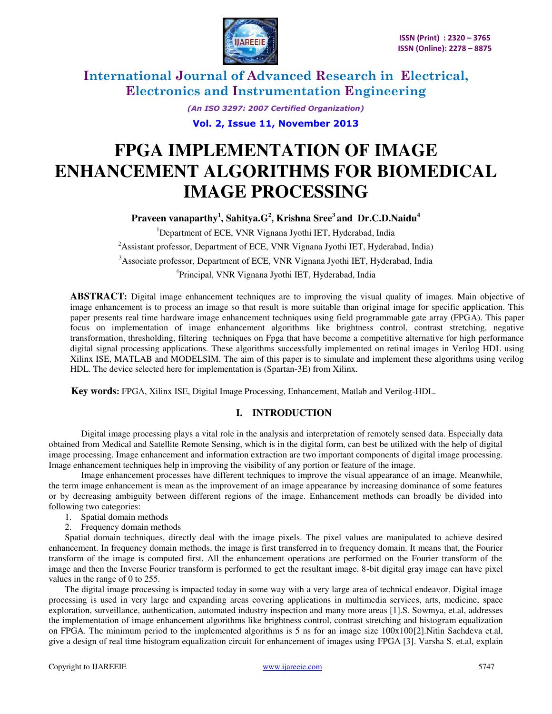

*(An ISO 3297: 2007 Certified Organization)* 

**Vol. 2, Issue 11, November 2013** 

# **FPGA IMPLEMENTATION OF IMAGE ENHANCEMENT ALGORITHMS FOR BIOMEDICAL IMAGE PROCESSING**

**Praveen vanaparthy<sup>1</sup> , Sahitya.G<sup>2</sup> , Krishna Sree<sup>3</sup>and Dr.C.D.Naidu<sup>4</sup>**

<sup>1</sup>Department of ECE, VNR Vignana Jyothi IET, Hyderabad, India <sup>2</sup>Assistant professor, Department of ECE, VNR Vignana Jyothi IET, Hyderabad, India) <sup>3</sup>Associate professor, Department of ECE, VNR Vignana Jyothi IET, Hyderabad, India 4 Principal, VNR Vignana Jyothi IET, Hyderabad, India

**ABSTRACT:** Digital image enhancement techniques are to improving the visual quality of images. Main objective of image enhancement is to process an image so that result is more suitable than original image for specific application. This paper presents real time hardware image enhancement techniques using field programmable gate array (FPGA). This paper focus on implementation of image enhancement algorithms like brightness control, contrast stretching, negative transformation, thresholding, filtering techniques on Fpga that have become a competitive alternative for high performance digital signal processing applications. These algorithms successfully implemented on retinal images in Verilog HDL using Xilinx ISE, MATLAB and MODELSIM. The aim of this paper is to simulate and implement these algorithms using verilog HDL. The device selected here for implementation is (Spartan-3E) from Xilinx.

 **Key words:** FPGA, Xilinx ISE, Digital Image Processing, Enhancement, Matlab and Verilog-HDL.

### **I. INTRODUCTION**

Digital image processing plays a vital role in the analysis and interpretation of remotely sensed data. Especially data obtained from Medical and Satellite Remote Sensing, which is in the digital form, can best be utilized with the help of digital image processing. Image enhancement and information extraction are two important components of digital image processing. Image enhancement techniques help in improving the visibility of any portion or feature of the image.

 Image enhancement processes have different techniques to improve the visual appearance of an image. Meanwhile, the term image enhancement is mean as the improvement of an image appearance by increasing dominance of some features or by decreasing ambiguity between different regions of the image. Enhancement methods can broadly be divided into following two categories:

- 1. Spatial domain methods
- 2. Frequency domain methods

Spatial domain techniques, directly deal with the image pixels. The pixel values are manipulated to achieve desired enhancement. In frequency domain methods, the image is first transferred in to frequency domain. It means that, the Fourier transform of the image is computed first. All the enhancement operations are performed on the Fourier transform of the image and then the Inverse Fourier transform is performed to get the resultant image. 8-bit digital gray image can have pixel values in the range of 0 to 255.

The digital image processing is impacted today in some way with a very large area of technical endeavor. Digital image processing is used in very large and expanding areas covering applications in multimedia services, arts, medicine, space exploration, surveillance, authentication, automated industry inspection and many more areas [1].S. Sowmya, et.al, addresses the implementation of image enhancement algorithms like brightness control, contrast stretching and histogram equalization on FPGA. The minimum period to the implemented algorithms is 5 ns for an image size 100x100[2].Nitin Sachdeva et.al, give a design of real time histogram equalization circuit for enhancement of images using FPGA [3]. Varsha S. et.al, explain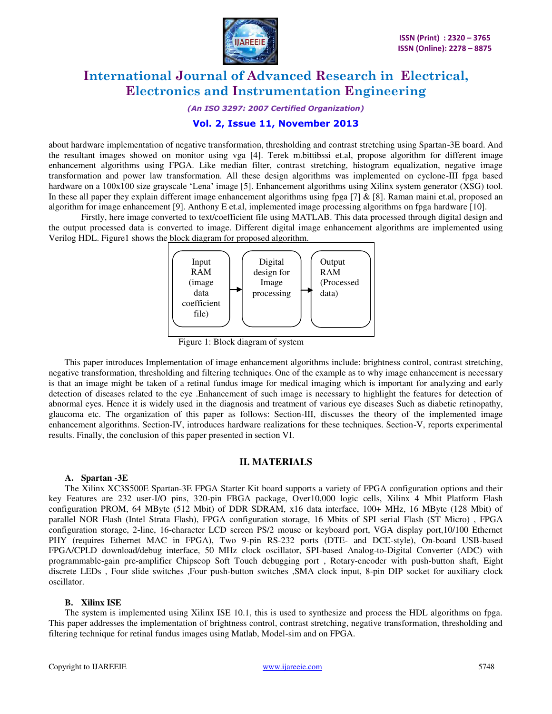

*(An ISO 3297: 2007 Certified Organization)* 

### **Vol. 2, Issue 11, November 2013**

about hardware implementation of negative transformation, thresholding and contrast stretching using Spartan-3E board. And the resultant images showed on monitor using vga [4]. Terek m.bittibssi et.al, propose algorithm for different image enhancement algorithms using FPGA. Like median filter, contrast stretching, histogram equalization, negative image transformation and power law transformation. All these design algorithms was implemented on cyclone-III fpga based hardware on a 100x100 size grayscale 'Lena' image [5]. Enhancement algorithms using Xilinx system generator (XSG) tool. In these all paper they explain different image enhancement algorithms using fpga  $[7]$  &  $[8]$ . Raman maini et.al, proposed an algorithm for image enhancement [9]. Anthony E et.al, implemented image processing algorithms on fpga hardware [10].

Firstly, here image converted to text/coefficient file using MATLAB. This data processed through digital design and the output processed data is converted to image. Different digital image enhancement algorithms are implemented using Verilog HDL. Figure1 shows the block diagram for proposed algorithm.



Figure 1: Block diagram of system

 This paper introduces Implementation of image enhancement algorithms include: brightness control, contrast stretching, negative transformation, thresholding and filtering techniques. One of the example as to why image enhancement is necessary is that an image might be taken of a retinal fundus image for medical imaging which is important for analyzing and early detection of diseases related to the eye .Enhancement of such image is necessary to highlight the features for detection of abnormal eyes. Hence it is widely used in the diagnosis and treatment of various eye diseases Such as diabetic retinopathy, glaucoma etc. The organization of this paper as follows: Section-III, discusses the theory of the implemented image enhancement algorithms. Section-IV, introduces hardware realizations for these techniques. Section-V, reports experimental results. Finally, the conclusion of this paper presented in section VI.

#### **II. MATERIALS**

#### **A. Spartan -3E**

The Xilinx XC3S500E Spartan-3E FPGA Starter Kit board supports a variety of FPGA configuration options and their key Features are 232 user-I/O pins, 320-pin FBGA package, Over10,000 logic cells, Xilinx 4 Mbit Platform Flash configuration PROM, 64 MByte (512 Mbit) of DDR SDRAM, x16 data interface, 100+ MHz, 16 MByte (128 Mbit) of parallel NOR Flash (Intel Strata Flash), FPGA configuration storage, 16 Mbits of SPI serial Flash (ST Micro) , FPGA configuration storage, 2-line, 16-character LCD screen PS/2 mouse or keyboard port, VGA display port,10/100 Ethernet PHY (requires Ethernet MAC in FPGA), Two 9-pin RS-232 ports (DTE- and DCE-style), On-board USB-based FPGA/CPLD download/debug interface, 50 MHz clock oscillator, SPI-based Analog-to-Digital Converter (ADC) with programmable-gain pre-amplifier Chipscop Soft Touch debugging port , Rotary-encoder with push-button shaft, Eight discrete LEDs , Four slide switches ,Four push-button switches ,SMA clock input, 8-pin DIP socket for auxiliary clock oscillator.

#### **B. Xilinx ISE**

The system is implemented using Xilinx ISE 10.1, this is used to synthesize and process the HDL algorithms on fpga. This paper addresses the implementation of brightness control, contrast stretching, negative transformation, thresholding and filtering technique for retinal fundus images using Matlab, Model-sim and on FPGA.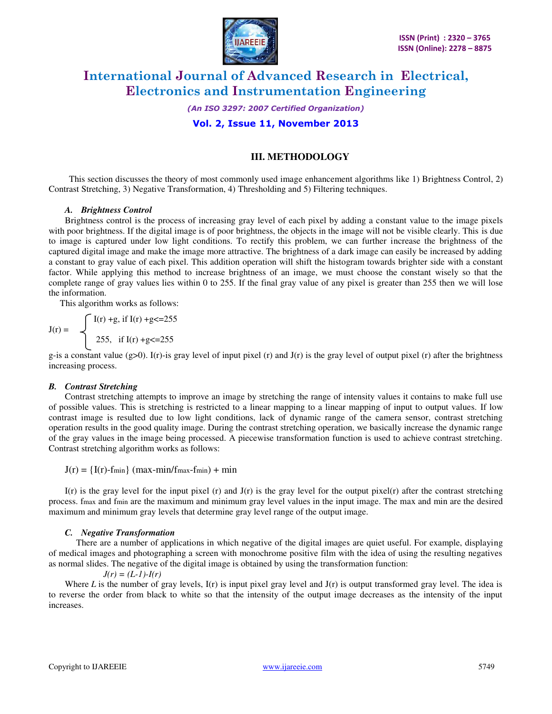

*(An ISO 3297: 2007 Certified Organization)* 

### **Vol. 2, Issue 11, November 2013**

## **III. METHODOLOGY**

 This section discusses the theory of most commonly used image enhancement algorithms like 1) Brightness Control, 2) Contrast Stretching, 3) Negative Transformation, 4) Thresholding and 5) Filtering techniques.

#### *A. Brightness Control*

Brightness control is the process of increasing gray level of each pixel by adding a constant value to the image pixels with poor brightness. If the digital image is of poor brightness, the objects in the image will not be visible clearly. This is due to image is captured under low light conditions. To rectify this problem, we can further increase the brightness of the captured digital image and make the image more attractive. The brightness of a dark image can easily be increased by adding a constant to gray value of each pixel. This addition operation will shift the histogram towards brighter side with a constant factor. While applying this method to increase brightness of an image, we must choose the constant wisely so that the complete range of gray values lies within 0 to 255. If the final gray value of any pixel is greater than 255 then we will lose the information.

This algorithm works as follows:

$$
J(r) = \begin{cases} I(r) + g, \text{ if } I(r) + g < = 255 \\ 255, \text{ if } I(r) + g < = 255 \end{cases}
$$

g-is a constant value  $(g>0)$ . I(r)-is gray level of input pixel (r) and  $J(r)$  is the gray level of output pixel (r) after the brightness increasing process.

### *B. Contrast Stretching*

Contrast stretching attempts to improve an image by stretching the range of intensity values it contains to make full use of possible values. This is stretching is restricted to a linear mapping to a linear mapping of input to output values. If low contrast image is resulted due to low light conditions, lack of dynamic range of the camera sensor, contrast stretching operation results in the good quality image. During the contrast stretching operation, we basically increase the dynamic range of the gray values in the image being processed. A piecewise transformation function is used to achieve contrast stretching. Contrast stretching algorithm works as follows:

 $J(r) = {I(r)$ -fmin $\{max-min/fmax-fmin\}$  + min

I(r) is the gray level for the input pixel (r) and  $J(r)$  is the gray level for the output pixel(r) after the contrast stretching process. fmax and fmin are the maximum and minimum gray level values in the input image. The max and min are the desired maximum and minimum gray levels that determine gray level range of the output image.

#### *C. Negative Transformation*

 There are a number of applications in which negative of the digital images are quiet useful. For example, displaying of medical images and photographing a screen with monochrome positive film with the idea of using the resulting negatives as normal slides. The negative of the digital image is obtained by using the transformation function:

 $J(r) = (L-1)-I(r)$ 

Where *L* is the number of gray levels,  $I(r)$  is input pixel gray level and  $J(r)$  is output transformed gray level. The idea is to reverse the order from black to white so that the intensity of the output image decreases as the intensity of the input increases.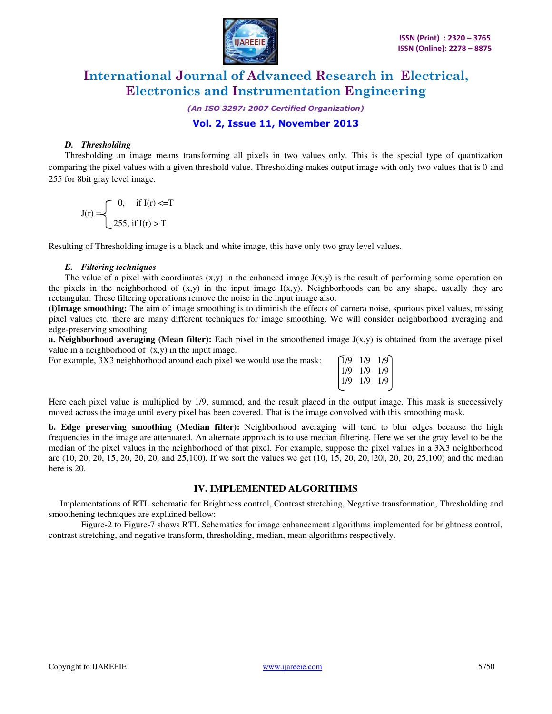

*(An ISO 3297: 2007 Certified Organization)* 

# **Vol. 2, Issue 11, November 2013**

#### *D. Thresholding*

Thresholding an image means transforming all pixels in two values only. This is the special type of quantization comparing the pixel values with a given threshold value. Thresholding makes output image with only two values that is 0 and 255 for 8bit gray level image.

$$
J(r) = \begin{cases} 0, & \text{if } I(r) < = T \\ 255, & \text{if } I(r) > T \end{cases}
$$

Resulting of Thresholding image is a black and white image, this have only two gray level values.

### *E. Filtering techniques*

The value of a pixel with coordinates  $(x,y)$  in the enhanced image  $J(x,y)$  is the result of performing some operation on the pixels in the neighborhood of  $(x,y)$  in the input image  $I(x,y)$ . Neighborhoods can be any shape, usually they are rectangular. These filtering operations remove the noise in the input image also.

**(i)Image smoothing:** The aim of image smoothing is to diminish the effects of camera noise, spurious pixel values, missing pixel values etc. there are many different techniques for image smoothing. We will consider neighborhood averaging and edge-preserving smoothing.

**a. Neighborhood averaging (Mean filter):** Each pixel in the smoothened image  $J(x,y)$  is obtained from the average pixel value in a neighborhood of  $(x,y)$  in the input image.

For example,  $3X3$  neighborhood around each pixel we would use the mask:  $\begin{bmatrix} 1/9 & 1/9 & 1/9 \end{bmatrix}$ 

| For example, $3\lambda 3$ heighborhood around each pixel we would use the mask. | 11/9 1/9 1/9 1    |  |
|---------------------------------------------------------------------------------|-------------------|--|
|                                                                                 | $1/9$ $1/9$ $1/9$ |  |
|                                                                                 | $1/9$ $1/9$ $1/9$ |  |
|                                                                                 |                   |  |

Here each pixel value is multiplied by 1/9, summed, and the result placed in the output image. This mask is successively moved across the image until every pixel has been covered. That is the image convolved with this smoothing mask.

**b. Edge preserving smoothing (Median filter):** Neighborhood averaging will tend to blur edges because the high frequencies in the image are attenuated. An alternate approach is to use median filtering. Here we set the gray level to be the median of the pixel values in the neighborhood of that pixel. For example, suppose the pixel values in a 3X3 neighborhood are (10, 20, 20, 15, 20, 20, 20, and 25,100). If we sort the values we get (10, 15, 20, 20, |20|, 20, 20, 25,100) and the median here is 20.

# **IV. IMPLEMENTED ALGORITHMS**

 Implementations of RTL schematic for Brightness control, Contrast stretching, Negative transformation, Thresholding and smoothening techniques are explained bellow:

Figure-2 to Figure-7 shows RTL Schematics for image enhancement algorithms implemented for brightness control, contrast stretching, and negative transform, thresholding, median, mean algorithms respectively.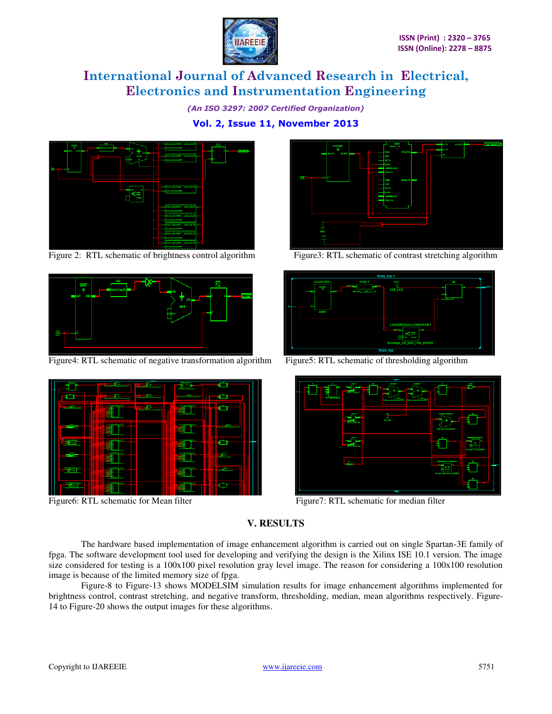

*(An ISO 3297: 2007 Certified Organization)* 

**Vol. 2, Issue 11, November 2013** 



Figure 2: RTL schematic of brightness control algorithm Figure3: RTL schematic of contrast stretching algorithm



Figure4: RTL schematic of negative transformation algorithm Figure5: RTL schematic of thresholding algorithm



Figure6: RTL schematic for Mean filter Figure7: RTL schematic for median filter







# **V. RESULTS**

The hardware based implementation of image enhancement algorithm is carried out on single Spartan-3E family of fpga. The software development tool used for developing and verifying the design is the Xilinx ISE 10.1 version. The image size considered for testing is a 100x100 pixel resolution gray level image. The reason for considering a 100x100 resolution image is because of the limited memory size of fpga.

Figure-8 to Figure-13 shows MODELSIM simulation results for image enhancement algorithms implemented for brightness control, contrast stretching, and negative transform, thresholding, median, mean algorithms respectively. Figure-14 to Figure-20 shows the output images for these algorithms.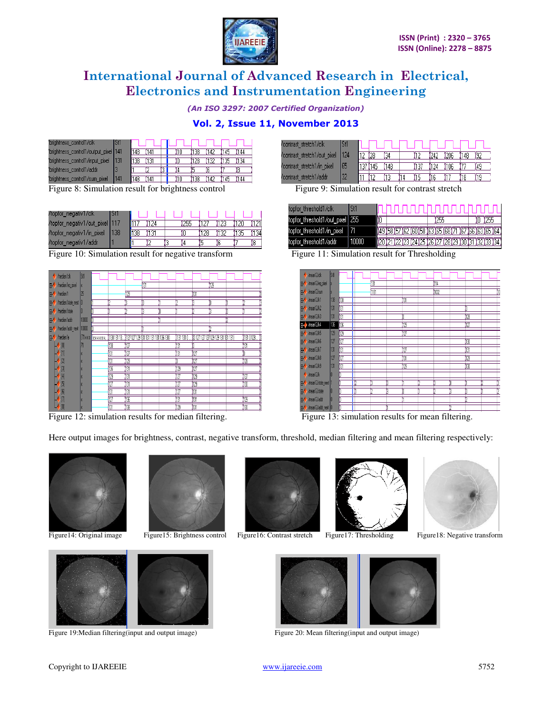

*(An ISO 3297: 2007 Certified Organization)* 

# **Vol. 2, Issue 11, November 2013**

| brightness control1/clk              | 'Sh |     |  |  |     |  |  |
|--------------------------------------|-----|-----|--|--|-----|--|--|
| brightness_control1/output_pixel 141 |     | 148 |  |  | :38 |  |  |
| brightness_control1/input_pixel      |     |     |  |  | 128 |  |  |
| brightness control1/addr             |     |     |  |  |     |  |  |
| brightness control1/sum pixel        | 141 | 148 |  |  | 138 |  |  |

Figure 8: Simulation result for brightness control Figure 9: Simulation result for contrast stretch

| /topfor_negativ1/clk           |      |  |  |  |     |
|--------------------------------|------|--|--|--|-----|
| /topfor_negativ1/out_pixel 117 |      |  |  |  |     |
| /topfor_negativ1/in_pixel_     | 1138 |  |  |  | 134 |
| /topfor negativ1/addr          |      |  |  |  |     |

Figure 10: Simulation result for negative transform Figure 11: Simulation result for Thresholding



Figure 12: simulation results for median filtering. Figure 13: simulation results for mean filtering

| $\pm 1$ guit $\pm 2$ , shinuration results for incuran flucting. | T iguit 19. simulation results for mean mitching. |  |
|------------------------------------------------------------------|---------------------------------------------------|--|
|                                                                  |                                                   |  |

.<br>.

Here output images for brightness, contrast, negative transform, threshold, median filtering and mean filtering respectively:





Figure 19: Median filtering(input and output image) Figure 20: Mean filtering(input and output image)











Copyright to IJAREEIE www.ijareeie.com 5752

| contrast stretch1/clk              | Sti |     |      |     |  |      |      |     |  |
|------------------------------------|-----|-----|------|-----|--|------|------|-----|--|
| /contrast_stretch1/out_pixel   124 |     |     |      |     |  | 1242 | 206  | 148 |  |
| contrast stretch1/in pixel/        |     | 137 | 1145 | 148 |  | 124  | '106 |     |  |
| contrast stretch1/addr             | 32  |     |      |     |  |      |      |     |  |

| topfor threshold1/clk             |     |                                                                       |  |  |  |     |  |  |     |  |
|-----------------------------------|-----|-----------------------------------------------------------------------|--|--|--|-----|--|--|-----|--|
| topfor_threshold1/out_pixel   255 |     | 10                                                                    |  |  |  | 255 |  |  | 255 |  |
| topfor_threshold1/in_pixel        |     | (49 (53 (57 ) 62 ) 60 (53 ) 63 ) 65 (68 (71 ) 67 (66 ) 63 ) 65 ) 64 . |  |  |  |     |  |  |     |  |
| topfor threshold1/addr            | .mm | <u>1,20 121 122 123 124 125 126 127 128 129 130 131 132 133 134 1</u> |  |  |  |     |  |  |     |  |